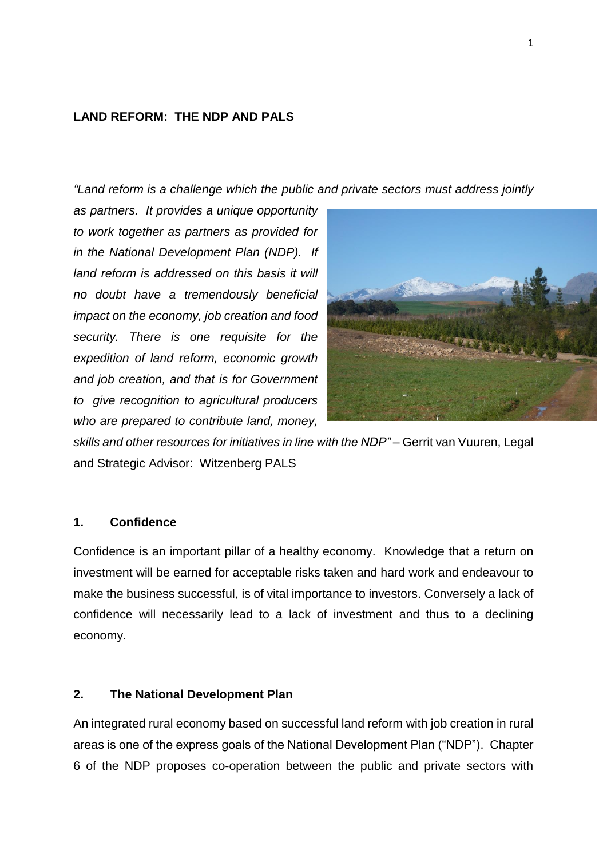### **LAND REFORM: THE NDP AND PALS**

*"Land reform is a challenge which the public and private sectors must address jointly* 

*as partners. It provides a unique opportunity to work together as partners as provided for in the National Development Plan (NDP). If land reform is addressed on this basis it will no doubt have a tremendously beneficial impact on the economy, job creation and food security. There is one requisite for the expedition of land reform, economic growth and job creation, and that is for Government to give recognition to agricultural producers who are prepared to contribute land, money,* 



*skills and other resources for initiatives in line with the NDP" –* Gerrit van Vuuren, Legal and Strategic Advisor: Witzenberg PALS

## **1. Confidence**

Confidence is an important pillar of a healthy economy. Knowledge that a return on investment will be earned for acceptable risks taken and hard work and endeavour to make the business successful, is of vital importance to investors. Conversely a lack of confidence will necessarily lead to a lack of investment and thus to a declining economy.

### **2. The National Development Plan**

An integrated rural economy based on successful land reform with job creation in rural areas is one of the express goals of the National Development Plan ("NDP"). Chapter 6 of the NDP proposes co-operation between the public and private sectors with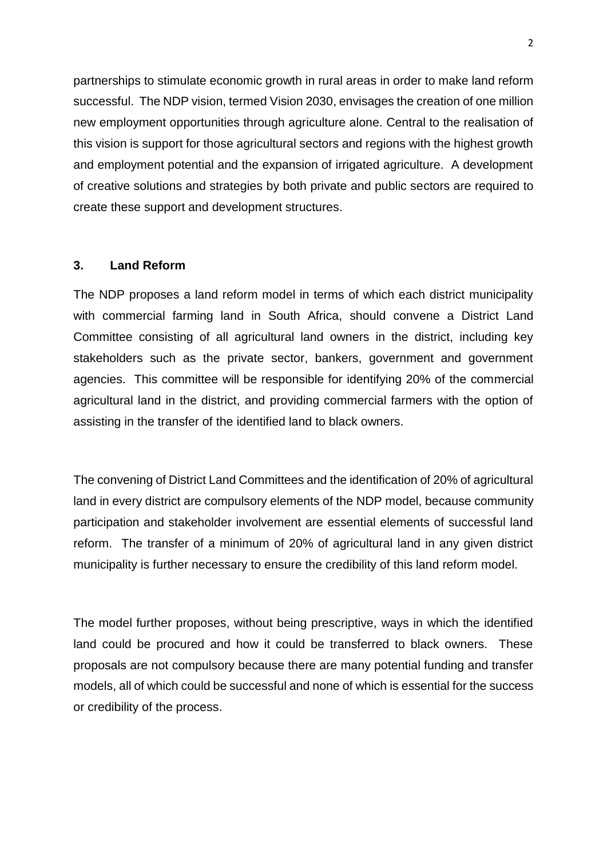partnerships to stimulate economic growth in rural areas in order to make land reform successful. The NDP vision, termed Vision 2030, envisages the creation of one million new employment opportunities through agriculture alone. Central to the realisation of this vision is support for those agricultural sectors and regions with the highest growth and employment potential and the expansion of irrigated agriculture. A development of creative solutions and strategies by both private and public sectors are required to create these support and development structures.

### **3. Land Reform**

The NDP proposes a land reform model in terms of which each district municipality with commercial farming land in South Africa, should convene a District Land Committee consisting of all agricultural land owners in the district, including key stakeholders such as the private sector, bankers, government and government agencies. This committee will be responsible for identifying 20% of the commercial agricultural land in the district, and providing commercial farmers with the option of assisting in the transfer of the identified land to black owners.

The convening of District Land Committees and the identification of 20% of agricultural land in every district are compulsory elements of the NDP model, because community participation and stakeholder involvement are essential elements of successful land reform. The transfer of a minimum of 20% of agricultural land in any given district municipality is further necessary to ensure the credibility of this land reform model.

The model further proposes, without being prescriptive, ways in which the identified land could be procured and how it could be transferred to black owners. These proposals are not compulsory because there are many potential funding and transfer models, all of which could be successful and none of which is essential for the success or credibility of the process.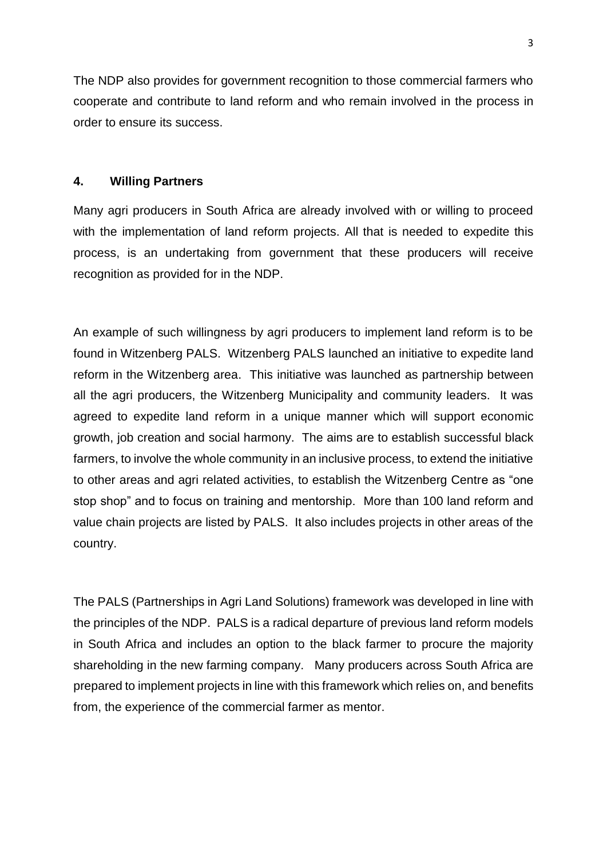The NDP also provides for government recognition to those commercial farmers who cooperate and contribute to land reform and who remain involved in the process in order to ensure its success.

#### **4. Willing Partners**

Many agri producers in South Africa are already involved with or willing to proceed with the implementation of land reform projects. All that is needed to expedite this process, is an undertaking from government that these producers will receive recognition as provided for in the NDP.

An example of such willingness by agri producers to implement land reform is to be found in Witzenberg PALS. Witzenberg PALS launched an initiative to expedite land reform in the Witzenberg area. This initiative was launched as partnership between all the agri producers, the Witzenberg Municipality and community leaders. It was agreed to expedite land reform in a unique manner which will support economic growth, job creation and social harmony. The aims are to establish successful black farmers, to involve the whole community in an inclusive process, to extend the initiative to other areas and agri related activities, to establish the Witzenberg Centre as "one stop shop" and to focus on training and mentorship. More than 100 land reform and value chain projects are listed by PALS. It also includes projects in other areas of the country.

The PALS (Partnerships in Agri Land Solutions) framework was developed in line with the principles of the NDP. PALS is a radical departure of previous land reform models in South Africa and includes an option to the black farmer to procure the majority shareholding in the new farming company. Many producers across South Africa are prepared to implement projects in line with this framework which relies on, and benefits from, the experience of the commercial farmer as mentor.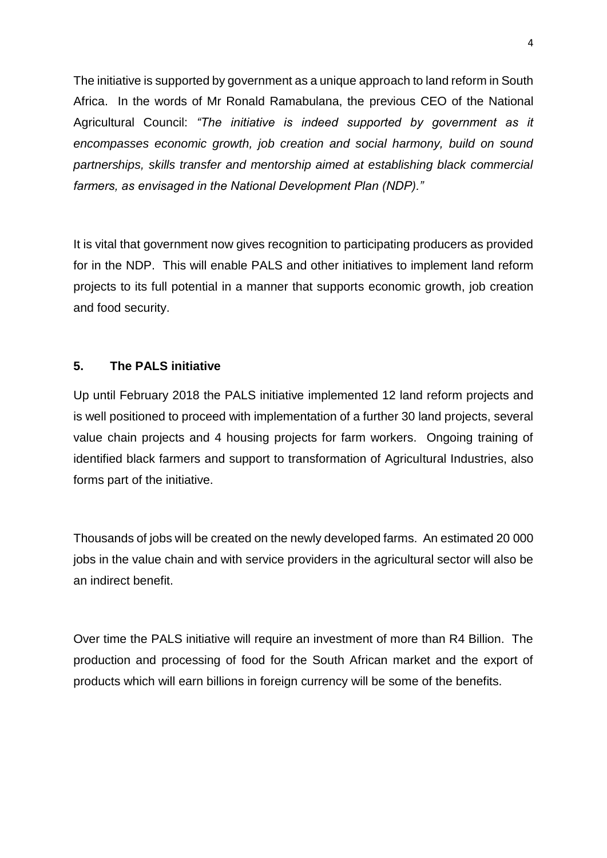The initiative is supported by government as a unique approach to land reform in South Africa. In the words of Mr Ronald Ramabulana, the previous CEO of the National Agricultural Council: *"The initiative is indeed supported by government as it encompasses economic growth, job creation and social harmony, build on sound partnerships, skills transfer and mentorship aimed at establishing black commercial farmers, as envisaged in the National Development Plan (NDP)."*

It is vital that government now gives recognition to participating producers as provided for in the NDP. This will enable PALS and other initiatives to implement land reform projects to its full potential in a manner that supports economic growth, job creation and food security.

# **5. The PALS initiative**

Up until February 2018 the PALS initiative implemented 12 land reform projects and is well positioned to proceed with implementation of a further 30 land projects, several value chain projects and 4 housing projects for farm workers. Ongoing training of identified black farmers and support to transformation of Agricultural Industries, also forms part of the initiative.

Thousands of jobs will be created on the newly developed farms. An estimated 20 000 jobs in the value chain and with service providers in the agricultural sector will also be an indirect benefit.

Over time the PALS initiative will require an investment of more than R4 Billion. The production and processing of food for the South African market and the export of products which will earn billions in foreign currency will be some of the benefits.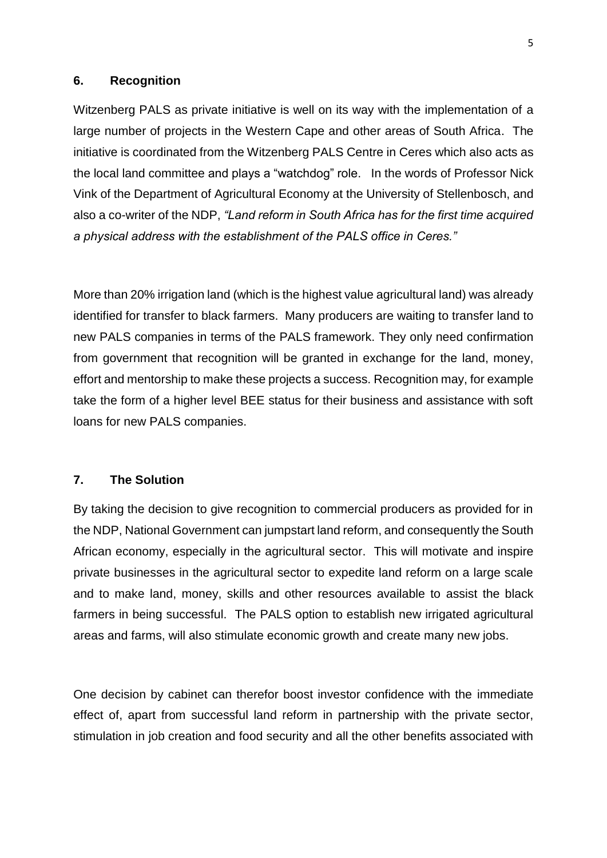#### **6. Recognition**

Witzenberg PALS as private initiative is well on its way with the implementation of a large number of projects in the Western Cape and other areas of South Africa. The initiative is coordinated from the Witzenberg PALS Centre in Ceres which also acts as the local land committee and plays a "watchdog" role. In the words of Professor Nick Vink of the Department of Agricultural Economy at the University of Stellenbosch, and also a co-writer of the NDP, *"Land reform in South Africa has for the first time acquired a physical address with the establishment of the PALS office in Ceres."*

More than 20% irrigation land (which is the highest value agricultural land) was already identified for transfer to black farmers. Many producers are waiting to transfer land to new PALS companies in terms of the PALS framework. They only need confirmation from government that recognition will be granted in exchange for the land, money, effort and mentorship to make these projects a success. Recognition may, for example take the form of a higher level BEE status for their business and assistance with soft loans for new PALS companies.

## **7. The Solution**

By taking the decision to give recognition to commercial producers as provided for in the NDP, National Government can jumpstart land reform, and consequently the South African economy, especially in the agricultural sector. This will motivate and inspire private businesses in the agricultural sector to expedite land reform on a large scale and to make land, money, skills and other resources available to assist the black farmers in being successful. The PALS option to establish new irrigated agricultural areas and farms, will also stimulate economic growth and create many new jobs.

One decision by cabinet can therefor boost investor confidence with the immediate effect of, apart from successful land reform in partnership with the private sector, stimulation in job creation and food security and all the other benefits associated with